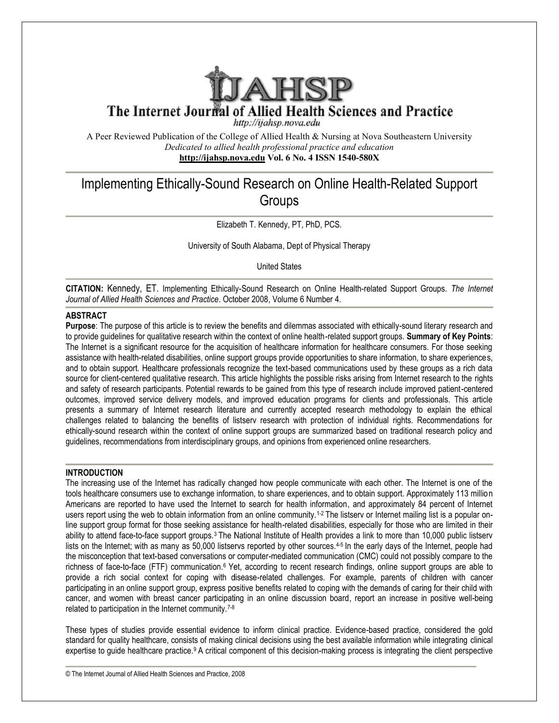

http://ijahsp.nova.edu

A Peer Reviewed Publication of the College of Allied Health & Nursing at Nova Southeastern University *Dedicated to allied health professional practice and education* **<http://ijahsp.nova.edu> http://ijahsp.nova.edu Vol. 6 No. 4 ISSN 1540-580X** 

# Implementing Ethically-Sound Research on Online Health-Related Support Groups

Elizabeth T. Kennedy, PT, PhD, PCS.

University of South Alabama, Dept of Physical Therapy

United States

CITATION: Kennedy, ET. Implementing Ethically-Sound Research on Online Health-related Support Groups. The Internet *Journal of Allied Health Sciences and Practice*. October 2008 2008, Volume 6 Number 4.

# **ABSTRACT**

Purpose: The purpose of this article is to review the benefits and dilemmas associated with ethically-sound literary research and to provide guidelines for qualitative research within the context of online health-related support groups. Summary of Key Points: The Internet is a significant resource for the acquisition of healthcare information for healthcare consumers. For those seeking assistance with health-related disabilities, online support groups provide opportunities to share information, to share experiences, and to obtain support. Healthcare professionals recognize the text-based communications used by these groups as a rich data source for client-centered qualitative research. This article highlights the possible risks arising from Internet research to the rights and safety of research participants. Potential rewards to be gained from this type of research include improved patient-centered outcomes, improved service delivery models, and improved education programs for clients and professionals. This article presents a summary of Internet research literature and currently accepted research methodology to explain the ethical challenges related to balancing the benefits of listserv research with protection of individual rights. Recommendations for ethically-sound research within the context of online support groups are summarized based on traditional research policy and guidelines, recommendations from interdisciplinary groups, and opinions from experienced online researchers.

# **INTRODUCTION**

The increasing use of the Internet has radically changed how people communicate with each other. The Internet is one of the The increasing use of the Internet has radically changed how people communicate with each other. The Internet is one of the<br>tools healthcare consumers use to exchange information, to share experiences, and to obtain suppor Americans are reported to have used the Internet to search for health information, and approximately 84 percent of Internet users report using the web to obtain information from an online community.<sup>1-2</sup> The listserv or Internet mailing list is a popular online support group format for those seeking assistance for health-related disabilities, especially for those who are limited in their ability to attend face-to-face support groups.<sup>3</sup> The National Institute of Health provides a link to more than 10,000 public listserv lists on the Internet; with as many as 50,000 listservs reported by other sources.<sup>4-5</sup> In the early days of the Internet, people had the misconception that text-based conversations or computer-mediated communication (CMC) could not possibly compare to the line support group format for those seeking assistance for health-related disabilities, especially for those who are limited in their<br>ability to attend face-to-face support groups.<sup>3</sup> The National Institute of Health provi provide a rich social context for coping with disease-related challenges. For example, parents of children with cancer participating in an online support group, express positive benefits related to coping with the demands of caring for their child with participating in an online support group, express positive benefits related to coping with the demands of caring for their child with<br>cancer, and women with breast cancer participating in an online discussion board, report related to participation in the Internet community.7-8

These types of studies provide essential evidence to inform clinical practice. Evidence-based practice, considered the gold standard for quality healthcare, consists of making clinical decisions using the best available information while integrating clinical expertise to guide healthcare practice.<sup>9</sup> A critical component of this decision-making process is integrating the client perspective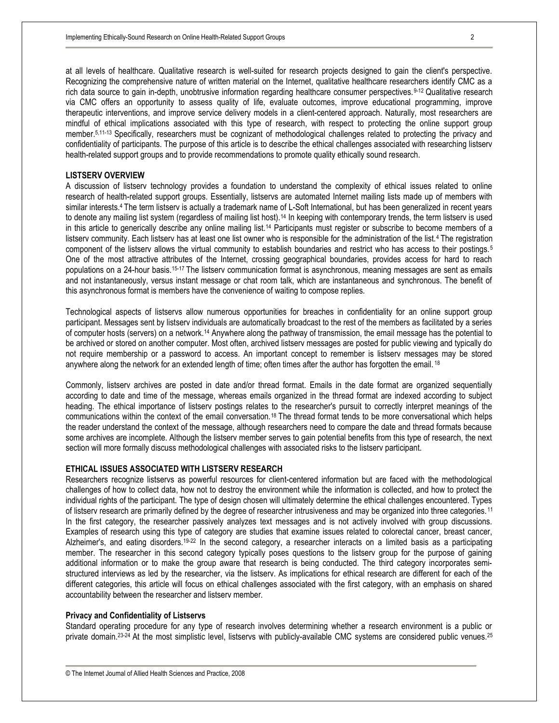at all levels of healthcare. Qualitative research is well-suited for research projects designed to gain the client's perspective. Recognizing the comprehensive nature of written material on the Internet, qualitative healthcare researchers identify CMC as a rich data source to gain in-depth, unobtrusive information regarding healthcare consumer perspectives. 9-12 Qualitative research via CMC offers an opportunity to assess quality of life, evaluate outcomes, improve educational programming, improve therapeutic interventions, and improve service delivery models in a client-centered approach. Naturally, most researchers are mindful of ethical implications associated with this type of research, with respect to protecting the online support group member.5,11-13 Specifically, researchers must be cognizant of methodological challenges related to protecting the privacy and confidentiality of participants. The purpose of this article is to describe the ethical challenges associated with researching listserv health-related support groups and to provide recommendations to promote quality ethically sound research.

## **LISTSERV OVERVIEW**

A discussion of listserv technology provides a foundation to understand the complexity of ethical issues related to online research of health-related support groups. Essentially, listservs are automated Internet mailing lists made up of members with similar interests.<sup>4</sup> The term listserv is actually a trademark name of L-Soft International, but has been generalized in recent years to denote any mailing list system (regardless of mailing list host).<sup>14</sup> In keeping with contemporary trends, the term listsery is used in this article to generically describe any online mailing list.<sup>14</sup> Participants must register or subscribe to become members of a listserv community. Each listserv has at least one list owner who is responsible for the administration of the list.4 The registration component of the listserv allows the virtual community to establish boundaries and restrict who has access to their postings. <sup>5</sup> One of the most attractive attributes of the Internet, crossing geographical boundaries, provides access for hard to reach populations on a 24-hour basis.15-17 The listserv communication format is asynchronous, meaning messages are sent as emails and not instantaneously, versus instant message or chat room talk, which are instantaneous and synchronous. The benefit of this asynchronous format is members have the convenience of waiting to compose replies.

Technological aspects of listservs allow numerous opportunities for breaches in confidentiality for an online support group participant. Messages sent by listserv individuals are automatically broadcast to the rest of the members as facilitated by a series of computer hosts (servers) on a network.<sup>14</sup> Anywhere along the pathway of transmission, the email message has the potential to be archived or stored on another computer. Most often, archived listserv messages are posted for public viewing and typically do not require membership or a password to access. An important concept to remember is listserv messages may be stored anywhere along the network for an extended length of time; often times after the author has forgotten the email. <sup>18</sup>

Commonly, listserv archives are posted in date and/or thread format. Emails in the date format are organized sequentially according to date and time of the message, whereas emails organized in the thread format are indexed according to subject heading. The ethical importance of listserv postings relates to the researcher's pursuit to correctly interpret meanings of the communications within the context of the email conversation.18 The thread format tends to be more conversational which helps the reader understand the context of the message, although researchers need to compare the date and thread formats because some archives are incomplete. Although the listserv member serves to gain potential benefits from this type of research, the next section will more formally discuss methodological challenges with associated risks to the listserv participant.

### **ETHICAL ISSUES ASSOCIATED WITH LISTSERV RESEARCH**

Researchers recognize listservs as powerful resources for client-centered information but are faced with the methodological challenges of how to collect data, how not to destroy the environment while the information is collected, and how to protect the individual rights of the participant. The type of design chosen will ultimately determine the ethical challenges encountered. Types of listserv research are primarily defined by the degree of researcher intrusiveness and may be organized into three categories. <sup>11</sup> In the first category, the researcher passively analyzes text messages and is not actively involved with group discussions. Examples of research using this type of category are studies that examine issues related to colorectal cancer, breast cancer, Alzheimer's, and eating disorders.<sup>19-22</sup> In the second category, a researcher interacts on a limited basis as a participating member. The researcher in this second category typically poses questions to the listserv group for the purpose of gaining additional information or to make the group aware that research is being conducted. The third category incorporates semistructured interviews as led by the researcher, via the listserv. As implications for ethical research are different for each of the different categories, this article will focus on ethical challenges associated with the first category, with an emphasis on shared accountability between the researcher and listserv member.

#### **Privacy and Confidentiality of Listservs**

Standard operating procedure for any type of research involves determining whether a research environment is a public or private domain.<sup>23-24</sup> At the most simplistic level, listservs with publicly-available CMC systems are considered public venues.<sup>25</sup>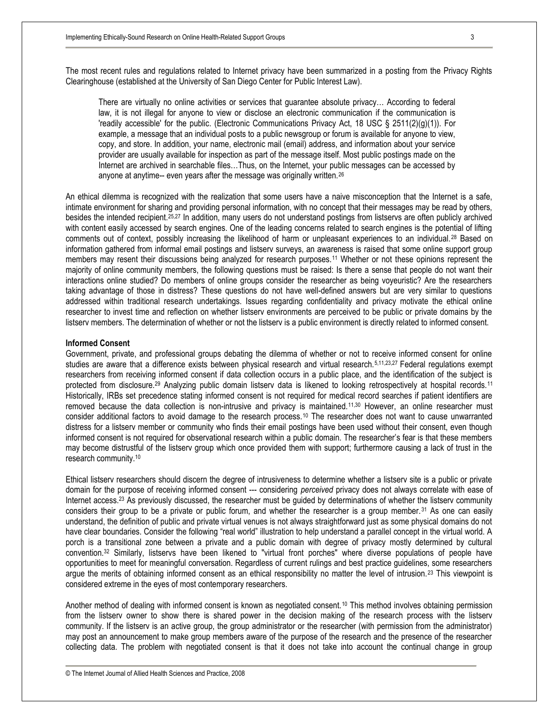The most recent rules and regulations related to Internet privacy have been summarized in a posting from the Privacy Rights Clearinghouse (established at the University of San Diego Center for Public Interest Law).

There are virtually no online activities or services that guarantee absolute privacy… According to federal law, it is not illegal for anyone to view or disclose an electronic communication if the communication is 'readily accessible' for the public. (Electronic Communications Privacy Act, 18 USC § 2511(2)(g)(1)). For example, a message that an individual posts to a public newsgroup or forum is available for anyone to view, copy, and store. In addition, your name, electronic mail (email) address, and information about your service provider are usually available for inspection as part of the message itself. Most public postings made on the Internet are archived in searchable files…Thus, on the Internet, your public messages can be accessed by anyone at anytime-- even years after the message was originally written.<sup>26</sup>

An ethical dilemma is recognized with the realization that some users have a naive misconception that the Internet is a safe, intimate environment for sharing and providing personal information, with no concept that their messages may be read by others, besides the intended recipient.25,27 In addition, many users do not understand postings from listservs are often publicly archived with content easily accessed by search engines. One of the leading concerns related to search engines is the potential of lifting comments out of context, possibly increasing the likelihood of harm or unpleasant experiences to an individual. <sup>28</sup> Based on information gathered from informal email postings and listserv surveys, an awareness is raised that some online support group members may resent their discussions being analyzed for research purposes.<sup>11</sup> Whether or not these opinions represent the majority of online community members, the following questions must be raised: Is there a sense that people do not want their interactions online studied? Do members of online groups consider the researcher as being voyeuristic? Are the researchers taking advantage of those in distress? These questions do not have well-defined answers but are very similar to questions addressed within traditional research undertakings. Issues regarding confidentiality and privacy motivate the ethical online researcher to invest time and reflection on whether listserv environments are perceived to be public or private domains by the listserv members. The determination of whether or not the listserv is a public environment is directly related to informed consent.

### **Informed Consent**

Government, private, and professional groups debating the dilemma of whether or not to receive informed consent for online studies are aware that a difference exists between physical research and virtual research.<sup>5,11,23,27</sup> Federal requlations exempt researchers from receiving informed consent if data collection occurs in a public place, and the identification of the subject is protected from disclosure.<sup>29</sup> Analyzing public domain listserv data is likened to looking retrospectively at hospital records.<sup>11</sup> Historically, IRBs set precedence stating informed consent is not required for medical record searches if patient identifiers are removed because the data collection is non-intrusive and privacy is maintained.<sup>11,30</sup> However, an online researcher must consider additional factors to avoid damage to the research process.<sup>10</sup> The researcher does not want to cause unwarranted distress for a listserv member or community who finds their email postings have been used without their consent, even though informed consent is not required for observational research within a public domain. The researcher's fear is that these members may become distrustful of the listserv group which once provided them with support; furthermore causing a lack of trust in the research community.<sup>10</sup>

Ethical listserv researchers should discern the degree of intrusiveness to determine whether a listserv site is a public or private domain for the purpose of receiving informed consent --- considering *perceived* privacy does not always correlate with ease of Internet access.<sup>23</sup> As previously discussed, the researcher must be guided by determinations of whether the listserv community considers their group to be a private or public forum, and whether the researcher is a group member. <sup>31</sup> As one can easily understand, the definition of public and private virtual venues is not always straightforward just as some physical domains do not have clear boundaries. Consider the following "real world" illustration to help understand a parallel concept in the virtual world. A porch is a transitional zone between a private and a public domain with degree of privacy mostly determined by cultural convention.<sup>32</sup> Similarly, listservs have been likened to "virtual front porches" where diverse populations of people have opportunities to meet for meaningful conversation. Regardless of current rulings and best practice guidelines, some researchers argue the merits of obtaining informed consent as an ethical responsibility no matter the level of intrusion.<sup>23</sup> This viewpoint is considered extreme in the eyes of most contemporary researchers.

Another method of dealing with informed consent is known as negotiated consent.<sup>10</sup> This method involves obtaining permission from the listserv owner to show there is shared power in the decision making of the research process with the listserv community. If the listserv is an active group, the group administrator or the researcher (with permission from the administrator) may post an announcement to make group members aware of the purpose of the research and the presence of the researcher collecting data. The problem with negotiated consent is that it does not take into account the continual change in group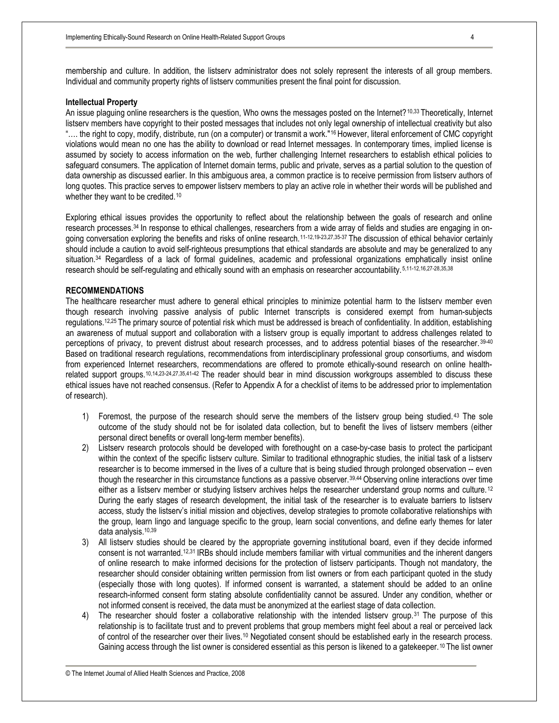membership and culture. In addition, the listserv administrator does not solely represent the interests of all group members. Individual and community property rights of listserv communities present the final point for discussion.

#### **Intellectual Property**

An issue plaguing online researchers is the question, Who owns the messages posted on the Internet?10,33 Theoretically, Internet listserv members have copyright to their posted messages that includes not only legal ownership of intellectual creativity but also "…. the right to copy, modify, distribute, run (on a computer) or transmit a work."16 However, literal enforcement of CMC copyright violations would mean no one has the ability to download or read Internet messages. In contemporary times, implied license is assumed by society to access information on the web, further challenging Internet researchers to establish ethical policies to safeguard consumers. The application of Internet domain terms, public and private, serves as a partial solution to the question of data ownership as discussed earlier. In this ambiguous area, a common practice is to receive permission from listserv authors of long quotes. This practice serves to empower listserv members to play an active role in whether their words will be published and whether they want to be credited.<sup>10</sup>

Exploring ethical issues provides the opportunity to reflect about the relationship between the goals of research and online research processes.34 In response to ethical challenges, researchers from a wide array of fields and studies are engaging in ongoing conversation exploring the benefits and risks of online research.<sup>11-12,19-23,27,35-37</sup> The discussion of ethical behavior certainly should include a caution to avoid self-righteous presumptions that ethical standards are absolute and may be generalized to any situation.<sup>34</sup> Regardless of a lack of formal guidelines, academic and professional organizations emphatically insist online research should be self-regulating and ethically sound with an emphasis on researcher accountability. 5,11-12,16,27-28,35,38

## **RECOMMENDATIONS**

The healthcare researcher must adhere to general ethical principles to minimize potential harm to the listserv member even though research involving passive analysis of public Internet transcripts is considered exempt from human-subjects regulations.12,25 The primary source of potential risk which must be addressed is breach of confidentiality. In addition, establishing an awareness of mutual support and collaboration with a listserv group is equally important to address challenges related to perceptions of privacy, to prevent distrust about research processes, and to address potential biases of the researcher. 39-40 Based on traditional research regulations, recommendations from interdisciplinary professional group consortiums, and wisdom from experienced Internet researchers, recommendations are offered to promote ethically-sound research on online healthrelated support groups.10,14,23-24,27,35,41-42 The reader should bear in mind discussion workgroups assembled to discuss these ethical issues have not reached consensus. (Refer to Appendix A for a checklist of items to be addressed prior to implementation of research).

- 1) Foremost, the purpose of the research should serve the members of the listserv group being studied. <sup>43</sup> The sole outcome of the study should not be for isolated data collection, but to benefit the lives of listserv members (either personal direct benefits or overall long-term member benefits).
- 2) Listserv research protocols should be developed with forethought on a case-by-case basis to protect the participant within the context of the specific listserv culture. Similar to traditional ethnographic studies, the initial task of a listserv researcher is to become immersed in the lives of a culture that is being studied through prolonged observation -- even though the researcher in this circumstance functions as a passive observer.<sup>39,44</sup> Observing online interactions over time either as a listserv member or studying listserv archives helps the researcher understand group norms and culture.<sup>12</sup> During the early stages of research development, the initial task of the researcher is to evaluate barriers to listserv access, study the listserv's initial mission and objectives, develop strategies to promote collaborative relationships with the group, learn lingo and language specific to the group, learn social conventions, and define early themes for later data analysis.<sup>10,39</sup>
- 3) All listserv studies should be cleared by the appropriate governing institutional board, even if they decide informed consent is not warranted.12,31 IRBs should include members familiar with virtual communities and the inherent dangers of online research to make informed decisions for the protection of listserv participants. Though not mandatory, the researcher should consider obtaining written permission from list owners or from each participant quoted in the study (especially those with long quotes). If informed consent is warranted, a statement should be added to an online research-informed consent form stating absolute confidentiality cannot be assured. Under any condition, whether or not informed consent is received, the data must be anonymized at the earliest stage of data collection.
- 4) The researcher should foster a collaborative relationship with the intended listserv group.<sup>31</sup> The purpose of this relationship is to facilitate trust and to prevent problems that group members might feel about a real or perceived lack of control of the researcher over their lives.<sup>10</sup> Negotiated consent should be established early in the research process. Gaining access through the list owner is considered essential as this person is likened to a gatekeeper.<sup>10</sup> The list owner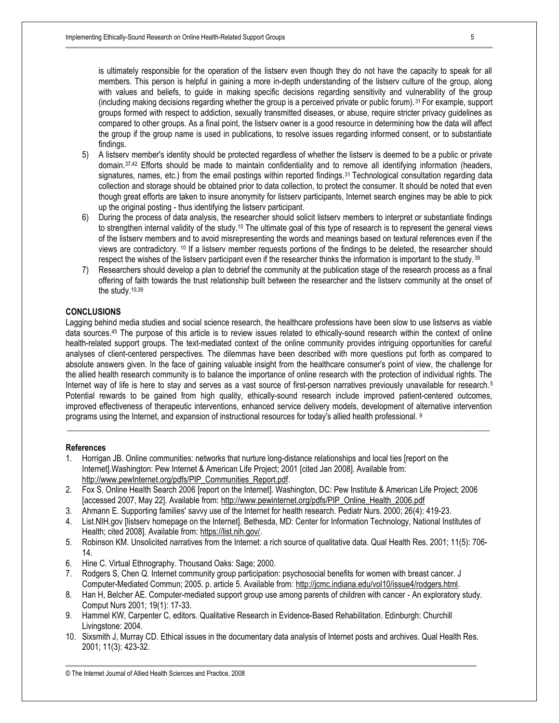is ultimately responsible for the operation of the listserv even though they do not have the capacity to speak for all members. This person is helpful in gaining a more in-depth understanding of the listserv culture of the group, along with values and beliefs, to guide in making specific decisions regarding sensitivity and vulnerability of the group (including making decisions regarding whether the group is a perceived private or public forum).<sup>31</sup> For example, support groups formed with respect to addiction, sexually transmitted diseases, or abuse, require stricter privacy guidelines as compared to other groups. As a final point, the listserv owner is a good resource in determining how the data will affect the group if the group name is used in publications, to resolve issues regarding informed consent, or to substantiate findings.

- 5) A listserv member's identity should be protected regardless of whether the listserv is deemed to be a public or private domain.37,42 Efforts should be made to maintain confidentiality and to remove all identifying information (headers, signatures, names, etc.) from the email postings within reported findings.<sup>31</sup> Technological consultation regarding data collection and storage should be obtained prior to data collection, to protect the consumer. It should be noted that even though great efforts are taken to insure anonymity for listserv participants, Internet search engines may be able to pick up the original posting - thus identifying the listserv participant.
- 6) During the process of data analysis, the researcher should solicit listserv members to interpret or substantiate findings to strengthen internal validity of the study.<sup>10</sup> The ultimate goal of this type of research is to represent the general views of the listserv members and to avoid misrepresenting the words and meanings based on textural references even if the views are contradictory. <sup>10</sup> If a listserv member requests portions of the findings to be deleted, the researcher should respect the wishes of the listserv participant even if the researcher thinks the information is important to the study. <sup>39</sup>
- 7) Researchers should develop a plan to debrief the community at the publication stage of the research process as a final offering of faith towards the trust relationship built between the researcher and the listserv community at the onset of the study.<sup>10,39</sup>

## **CONCLUSIONS**

Lagging behind media studies and social science research, the healthcare professions have been slow to use listservs as viable data sources.<sup>45</sup> The purpose of this article is to review issues related to ethically-sound research within the context of online health-related support groups. The text-mediated context of the online community provides intriguing opportunities for careful analyses of client-centered perspectives. The dilemmas have been described with more questions put forth as compared to absolute answers given. In the face of gaining valuable insight from the healthcare consumer's point of view, the challenge for the allied health research community is to balance the importance of online research with the protection of individual rights. The Internet way of life is here to stay and serves as a vast source of first-person narratives previously unavailable for research.<sup>5</sup> Potential rewards to be gained from high quality, ethically-sound research include improved patient-centered outcomes, improved effectiveness of therapeutic interventions, enhanced service delivery models, development of alternative intervention programs using the Internet, and expansion of instructional resources for today's allied health professional. 9

**\_\_\_\_\_\_\_\_\_\_\_\_\_\_\_\_\_\_\_\_\_\_\_\_\_\_\_\_\_\_\_\_\_\_\_\_\_\_\_\_\_\_\_\_\_\_\_\_\_\_\_\_\_\_\_\_\_\_\_\_\_\_\_\_\_\_\_\_\_\_\_\_\_\_\_\_\_\_\_\_\_\_\_\_\_\_\_\_\_\_\_\_\_\_\_\_\_\_\_\_\_\_** 

#### **References**

- 1. Horrigan JB. Online communities: networks that nurture long-distance relationships and local ties [report on the Internet].Washington: Pew Internet & American Life Project; 2001 [cited Jan 2008]. Available from: [http://www.pewInternet.org/pdfs/PIP\\_Communities\\_Report.pdf.](http://www.pewInternet.org/pdfs/PIP_Communities_Report.pdf)
- 2. Fox S. Online Health Search 2006 [report on the Internet]. Washington, DC: Pew Institute & American Life Project; 2006 [accessed 2007, May 22]. Available from: [http://www.pewinternet.org/pdfs/PIP\\_Online\\_Health\\_2006.pdf](http://www.pewinternet.org/pdfs/PIP_Online_Health_2006.pdf)
- 3. Ahmann E. Supporting families' savvy use of the Internet for health research. Pediatr Nurs. 2000; 26(4): 419-23.
- 4. List.NIH.gov [listserv homepage on the Internet]. Bethesda, MD: Center for Information Technology, National Institutes of Health; cited 2008]. Available from:<https://list.nih.gov/>.
- 5. Robinson KM. Unsolicited narratives from the Internet: a rich source of qualitative data. Qual Health Res. 2001; 11(5): 706- 14.
- 6. Hine C. Virtual Ethnography. Thousand Oaks: Sage; 2000.
- 7. Rodgers S, Chen Q. Internet community group participation: psychosocial benefits for women with breast cancer. J Computer-Mediated Commun; 2005. p. article 5. Available from: <http://jcmc.indiana.edu/vol10/issue4/rodgers.html>.
- 8. Han H, Belcher AE. Computer-mediated support group use among parents of children with cancer An exploratory study. Comput Nurs 2001; 19(1): 17-33.
- 9. Hammel KW, Carpenter C, editors. Qualitative Research in Evidence-Based Rehabilitation. Edinburgh: Churchill Livingstone: 2004.
- 10. Sixsmith J, Murray CD. Ethical issues in the documentary data analysis of Internet posts and archives. Qual Health Res. 2001; 11(3): 423-32.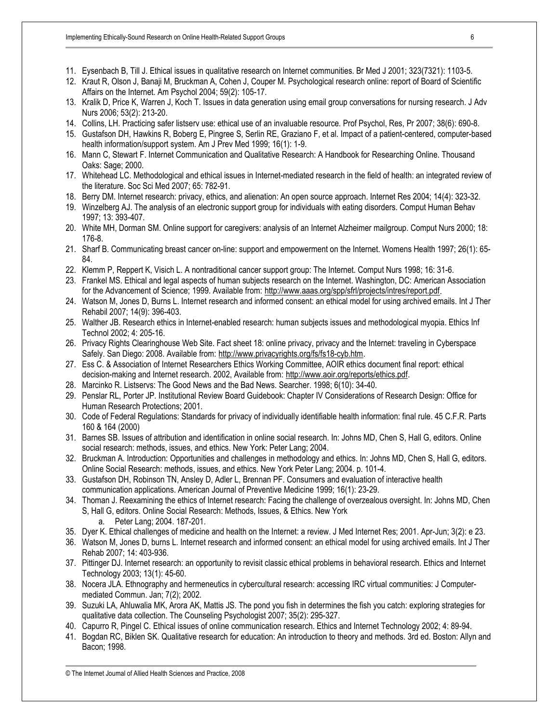- 11. Eysenbach B, Till J. Ethical issues in qualitative research on Internet communities. Br Med J 2001; 323(7321): 1103-5.
- 12. Kraut R, Olson J, Banaji M, Bruckman A, Cohen J, Couper M. Psychological research online: report of Board of Scientific Affairs on the Internet. Am Psychol 2004; 59(2): 105-17.
- 13. Kralik D, Price K, Warren J, Koch T. Issues in data generation using email group conversations for nursing research. J Adv Nurs 2006; 53(2): 213-20.
- 14. Collins, LH. Practicing safer listserv use: ethical use of an invaluable resource. Prof Psychol, Res, Pr 2007; 38(6): 690-8.
- 15. Gustafson DH, Hawkins R, Boberg E, Pingree S, Serlin RE, Graziano F, et al. Impact of a patient-centered, computer-based health information/support system. Am J Prev Med 1999; 16(1): 1-9.
- 16. Mann C, Stewart F. Internet Communication and Qualitative Research: A Handbook for Researching Online. Thousand Oaks: Sage; 2000.
- 17. Whitehead LC. Methodological and ethical issues in Internet-mediated research in the field of health: an integrated review of the literature. Soc Sci Med 2007; 65: 782-91.
- 18. Berry DM. Internet research: privacy, ethics, and alienation: An open source approach. Internet Res 2004; 14(4): 323-32.
- 19. Winzelberg AJ. The analysis of an electronic support group for individuals with eating disorders. Comput Human Behav 1997; 13: 393-407.
- 20. White MH, Dorman SM. Online support for caregivers: analysis of an Internet Alzheimer mailgroup. Comput Nurs 2000; 18: 176-8.
- 21. Sharf B. Communicating breast cancer on-line: support and empowerment on the Internet. Womens Health 1997; 26(1): 65- 84.
- 22. Klemm P, Reppert K, Visich L. A nontraditional cancer support group: The Internet. Comput Nurs 1998; 16: 31-6.
- 23. Frankel MS. Ethical and legal aspects of human subjects research on the Internet. Washington, DC: American Association for the Advancement of Science; 1999. Available from: <http://www.aaas.org/spp/sfrl/projects/intres/report.pdf>.
- 24. Watson M, Jones D, Burns L. Internet research and informed consent: an ethical model for using archived emails. Int J Ther Rehabil 2007; 14(9): 396-403.
- 25. Walther JB. Research ethics in Internet-enabled research: human subjects issues and methodological myopia. Ethics Inf Technol 2002; 4: 205-16.
- 26. Privacy Rights Clearinghouse Web Site. Fact sheet 18: online privacy, privacy and the Internet: traveling in Cyberspace Safely. San Diego: 2008. Available from: <http://www.privacyrights.org/fs/fs18-cyb.htm>.
- 27. Ess C. & Association of Internet Researchers Ethics Working Committee, AOIR ethics document final report: ethical decision-making and Internet research. 2002, Available from: [http://www.aoir.org/reports/ethics.pdf.](http://www.aoir.org/reports/ethics.pdf)
- 28. Marcinko R. Listservs: The Good News and the Bad News. Searcher. 1998; 6(10): 34-40.
- 29. Penslar RL, Porter JP. Institutional Review Board Guidebook: Chapter IV Considerations of Research Design: Office for Human Research Protections; 2001.
- 30. Code of Federal Regulations: Standards for privacy of individually identifiable health information: final rule. 45 C.F.R. Parts 160 & 164 (2000)
- 31. Barnes SB. Issues of attribution and identification in online social research. In: Johns MD, Chen S, Hall G, editors. Online social research: methods, issues, and ethics. New York: Peter Lang; 2004.
- 32. Bruckman A. Introduction: Opportunities and challenges in methodology and ethics. In: Johns MD, Chen S, Hall G, editors. Online Social Research: methods, issues, and ethics. New York Peter Lang; 2004. p. 101-4.
- 33. Gustafson DH, Robinson TN, Ansley D, Adler L, Brennan PF. Consumers and evaluation of interactive health communication applications. American Journal of Preventive Medicine 1999; 16(1): 23-29.
- 34. Thoman J. Reexamining the ethics of Internet research: Facing the challenge of overzealous oversight. In: Johns MD, Chen S, Hall G, editors. Online Social Research: Methods, Issues, & Ethics. New York
	- a. Peter Lang; 2004. 187-201.
- 35. Dyer K. Ethical challenges of medicine and health on the Internet: a review. J Med Internet Res; 2001. Apr-Jun; 3(2): e 23.
- 36. Watson M, Jones D, burns L. Internet research and informed consent: an ethical model for using archived emails. Int J Ther Rehab 2007; 14: 403-936.
- 37. Pittinger DJ. Internet research: an opportunity to revisit classic ethical problems in behavioral research. Ethics and Internet Technology 2003; 13(1): 45-60.
- 38. Nocera JLA. Ethnography and hermeneutics in cybercultural research: accessing IRC virtual communities: J Computermediated Commun. Jan; 7(2); 2002.
- 39. Suzuki LA, Ahluwalia MK, Arora AK, Mattis JS. The pond you fish in determines the fish you catch: exploring strategies for qualitative data collection. The Counseling Psychologist 2007; 35(2): 295-327.
- 40. Capurro R, Pingel C. Ethical issues of online communication research. Ethics and Internet Technology 2002; 4: 89-94.
- 41. Bogdan RC, Biklen SK. Qualitative research for education: An introduction to theory and methods. 3rd ed. Boston: Allyn and Bacon; 1998.

© The Internet Journal of Allied Health Sciences and Practice, 2008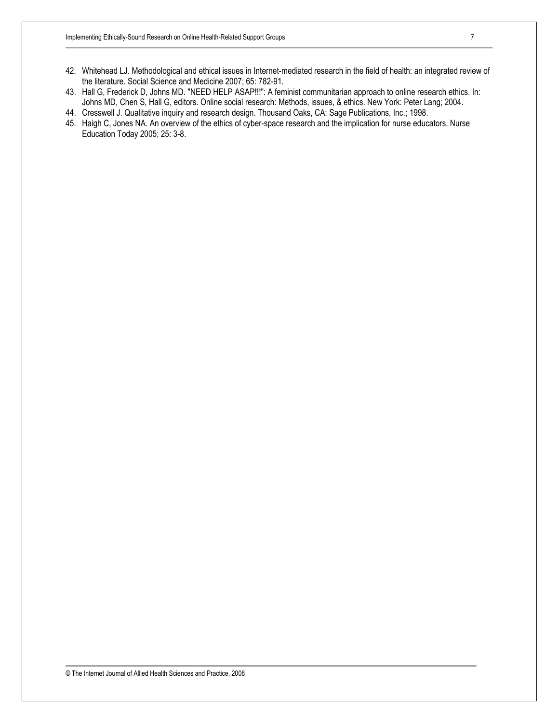- 42. Whitehead LJ. Methodological and ethical issues in Internet-mediated research in the field of health: an integrated review of the literature. Social Science and Medicine 2007; 65: 782-91.
- 43. Hall G, Frederick D, Johns MD. "NEED HELP ASAP!!!": A feminist communitarian approach to online research ethics. In: Johns MD, Chen S, Hall G, editors. Online social research: Methods, issues, & ethics. New York: Peter Lang; 2004.
- 44. Cresswell J. Qualitative inquiry and research design. Thousand Oaks, CA: Sage Publications, Inc.; 1998.
- 45. Haigh C, Jones NA. An overview of the ethics of cyber-space research and the implication for nurse educators. Nurse Education Today 2005; 25: 3-8.